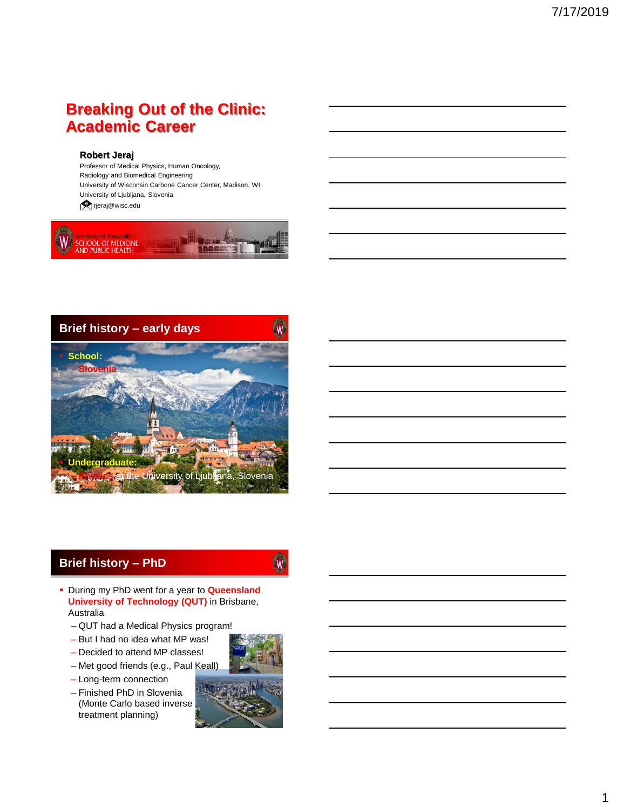# **Breaking Out of the Clinic: Academic Career**

#### **Robert Jeraj**

Professor of Medical Physics, Human Oncology, Radiology and Biomedical Engineering University of Wisconsin Carbone Cancer Center, Madison, WI University of Ljubljana, Slovenia

**T**rjeraj@wisc.edu





### **Brief history – PhD**

(W)

- During my PhD went for a year to **Queensland University of Technology (QUT)** in Brisbane, Australia
	- QUT had a Medical Physics program!
	- But I had no idea what MP was!
	- Decided to attend MP classes!
	- Met good friends (e.g., Paul Keall)
	- Long-term connection
	- Finished PhD in Slovenia (Monte Carlo based inverse treatment planning)

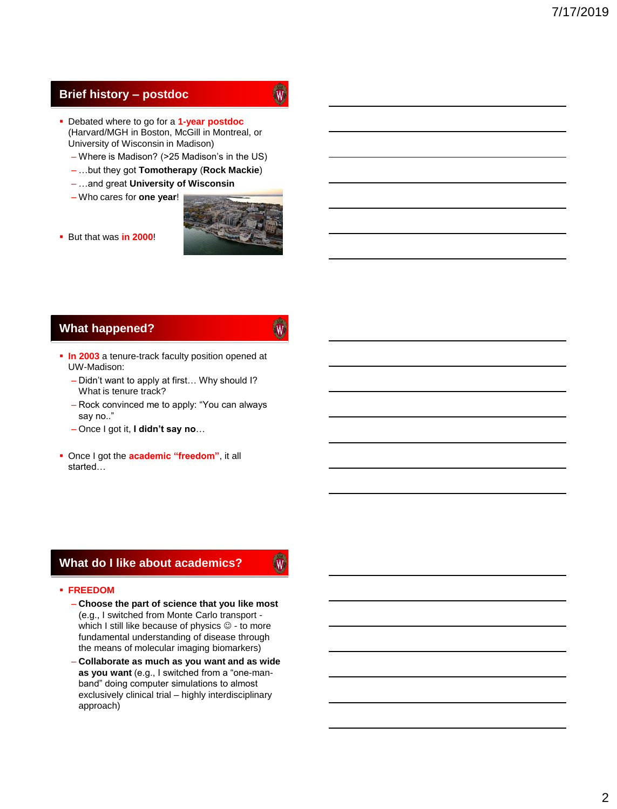### **Brief history – postdoc**

- W
- Debated where to go for a **1-year postdoc** (Harvard/MGH in Boston, McGill in Montreal, or University of Wisconsin in Madison)
	- Where is Madison? (>25 Madison's in the US)
	- …but they got **Tomotherapy** (**Rock Mackie**)
	- …and great **University of Wisconsin**
	- Who cares for **one year**!



But that was **in 2000**!

### **What happened?**

# W.

W.

- **In 2003** a tenure-track faculty position opened at UW-Madison:
	- Didn't want to apply at first… Why should I? What is tenure track?
	- Rock convinced me to apply: "You can always say no.."
	- Once I got it, **I didn't say no**…
- Once I got the **academic "freedom"**, it all started…

### **What do I like about academics?**

#### **FREEDOM**

- **Choose the part of science that you like most**  (e.g., I switched from Monte Carlo transport which I still like because of physics  $\mathcal{O}$  - to more fundamental understanding of disease through the means of molecular imaging biomarkers)
- **Collaborate as much as you want and as wide as you want** (e.g., I switched from a "one-manband" doing computer simulations to almost exclusively clinical trial – highly interdisciplinary approach)